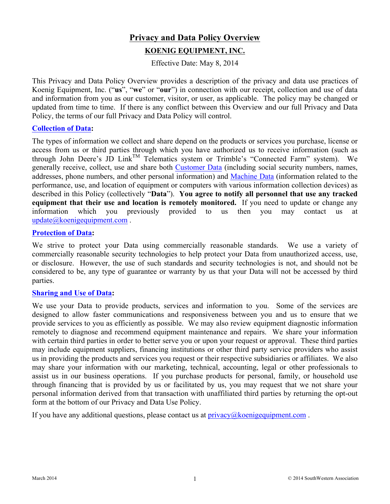# **Privacy and Data Policy Overview**

# **KOENIG EQUIPMENT, INC.**

Effective Date: May 8, 2014

This Privacy and Data Policy Overview provides a description of the privacy and data use practices of Koenig Equipment, Inc. ("**us**", "**we**" or "**our**") in connection with our receipt, collection and use of data and information from you as our customer, visitor, or user, as applicable. The policy may be changed or updated from time to time. If there is any conflict between this Overview and our full Privacy and Data Policy, the terms of our full Privacy and Data Policy will control.

#### **Collection of Data:**

The types of information we collect and share depend on the products or services you purchase, license or access from us or third parties through which you have authorized us to receive information (such as through John Deere's JD Link<sup>TM</sup> Telematics system or Trimble's "Connected Farm" system). We generally receive, collect, use and share both Customer Data (including social security numbers, names, addresses, phone numbers, and other personal information) and Machine Data (information related to the performance, use, and location of equipment or computers with various information collection devices) as described in this Policy (collectively "**Data**"). **You agree to notify all personnel that use any tracked equipment that their use and location is remotely monitored.** If you need to update or change any information which you previously provided to us then you may contact us at update@koenigequipment.com.

#### **Protection of Data:**

We strive to protect your Data using commercially reasonable standards. We use a variety of commercially reasonable security technologies to help protect your Data from unauthorized access, use, or disclosure. However, the use of such standards and security technologies is not, and should not be considered to be, any type of guarantee or warranty by us that your Data will not be accessed by third parties.

#### **Sharing and Use of Data:**

We use your Data to provide products, services and information to you. Some of the services are designed to allow faster communications and responsiveness between you and us to ensure that we provide services to you as efficiently as possible. We may also review equipment diagnostic information remotely to diagnose and recommend equipment maintenance and repairs. We share your information with certain third parties in order to better serve you or upon your request or approval. These third parties may include equipment suppliers, financing institutions or other third party service providers who assist us in providing the products and services you request or their respective subsidiaries or affiliates. We also may share your information with our marketing, technical, accounting, legal or other professionals to assist us in our business operations. If you purchase products for personal, family, or household use through financing that is provided by us or facilitated by us, you may request that we not share your personal information derived from that transaction with unaffiliated third parties by returning the opt-out form at the bottom of our Privacy and Data Use Policy.

If you have any additional questions, please contact us at  $\frac{\text{privacy}}{\text{@koenigequipment.com}}$ .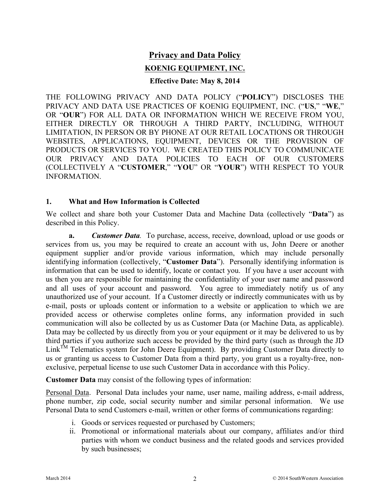# **Privacy and Data Policy**

# **KOENIG EQUIPMENT, INC.**

#### **Effective Date: May 8, 2014**

THE FOLLOWING PRIVACY AND DATA POLICY ("**POLICY**") DISCLOSES THE PRIVACY AND DATA USE PRACTICES OF KOENIG EQUIPMENT, INC. ("**US**," "**WE**," OR "**OUR**") FOR ALL DATA OR INFORMATION WHICH WE RECEIVE FROM YOU, EITHER DIRECTLY OR THROUGH A THIRD PARTY, INCLUDING, WITHOUT LIMITATION, IN PERSON OR BY PHONE AT OUR RETAIL LOCATIONS OR THROUGH WEBSITES, APPLICATIONS, EQUIPMENT, DEVICES OR THE PROVISION OF PRODUCTS OR SERVICES TO YOU. WE CREATED THIS POLICY TO COMMUNICATE OUR PRIVACY AND DATA POLICIES TO EACH OF OUR CUSTOMERS (COLLECTIVELY A "**CUSTOMER**," "**YOU**" OR "**YOUR**") WITH RESPECT TO YOUR INFORMATION.

### **1. What and How Information is Collected**

We collect and share both your Customer Data and Machine Data (collectively "**Data**") as described in this Policy.

**a.** *Customer Data.* To purchase, access, receive, download, upload or use goods or services from us, you may be required to create an account with us, John Deere or another equipment supplier and/or provide various information, which may include personally identifying information (collectively, "**Customer Data**"). Personally identifying information is information that can be used to identify, locate or contact you. If you have a user account with us then you are responsible for maintaining the confidentiality of your user name and password and all uses of your account and password. You agree to immediately notify us of any unauthorized use of your account. If a Customer directly or indirectly communicates with us by e-mail, posts or uploads content or information to a website or application to which we are provided access or otherwise completes online forms, any information provided in such communication will also be collected by us as Customer Data (or Machine Data, as applicable). Data may be collected by us directly from you or your equipment or it may be delivered to us by third parties if you authorize such access be provided by the third party (such as through the JD Link<sup>TM</sup> Telematics system for John Deere Equipment). By providing Customer Data directly to us or granting us access to Customer Data from a third party, you grant us a royalty-free, nonexclusive, perpetual license to use such Customer Data in accordance with this Policy.

**Customer Data** may consist of the following types of information:

Personal Data. Personal Data includes your name, user name, mailing address, e-mail address, phone number, zip code, social security number and similar personal information. We use Personal Data to send Customers e-mail, written or other forms of communications regarding:

- i. Goods or services requested or purchased by Customers;
- ii. Promotional or informational materials about our company, affiliates and/or third parties with whom we conduct business and the related goods and services provided by such businesses;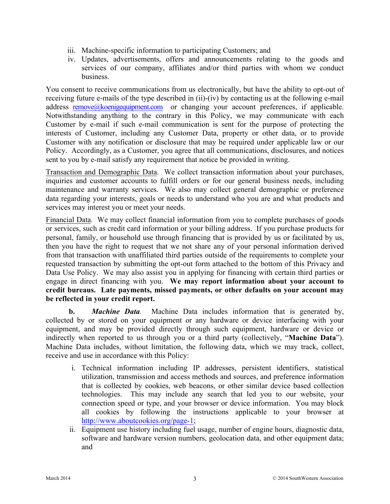- iii. Machine-specific information to participating Customers; and
- iv. Updates, advertisements, offers and announcements relating to the goods and services of our company, affiliates and/or third parties with whom we conduct business.

You consent to receive communications from us electronically, but have the ability to opt-out of receiving future e-mails of the type described in (ii)-(iv) by contacting us at the following e-mail address remove@koenigequipment.com or changing your account preferences, if applicable. Notwithstanding anything to the contrary in this Policy, we may communicate with each Customer by e-mail if such e-mail communication is sent for the purpose of protecting the interests of Customer, including any Customer Data, property or other data, or to provide Customer with any notification or disclosure that may be required under applicable law or our Policy. Accordingly, as a Customer, you agree that all communications, disclosures, and notices sent to you by e-mail satisfy any requirement that notice be provided in writing.

Transaction and Demographic Data. We collect transaction information about your purchases, inquiries and customer accounts to fulfill orders or for our general business needs, including maintenance and warranty services. We also may collect general demographic or preference data regarding your interests, goals or needs to understand who you are and what products and services may interest you or meet your needs.

Financial Data. We may collect financial information from you to complete purchases of goods or services, such as credit card information or your billing address. If you purchase products for personal, family, or household use through financing that is provided by us or facilitated by us, then you have the right to request that we not share any of your personal information derived from that transaction with unaffiliated third parties outside of the requirements to complete your requested transaction by submitting the opt-out form attached to the bottom of this Privacy and Data Use Policy. We may also assist you in applying for financing with certain third parties or engage in direct financing with you. **We may report information about your account to credit bureaus. Late payments, missed payments, or other defaults on your account may be reflected in your credit report.** 

**b.** *Machine Data.* Machine Data includes information that is generated by, collected by or stored on your equipment or any hardware or device interfacing with your equipment, and may be provided directly through such equipment, hardware or device or indirectly when reported to us through you or a third party (collectively, "**Machine Data**"). Machine Data includes, without limitation, the following data, which we may track, collect, receive and use in accordance with this Policy:

- i. Technical information including IP addresses, persistent identifiers, statistical utilization, transmission and access methods and sources, and preference information that is collected by cookies, web beacons, or other similar device based collection technologies. This may include any search that led you to our website, your connection speed or type, and your browser or device information. You may block all cookies by following the instructions applicable to your browser at http://www.aboutcookies.org/page-1;
- ii. Equipment use history including fuel usage, number of engine hours, diagnostic data, software and hardware version numbers, geolocation data, and other equipment data; and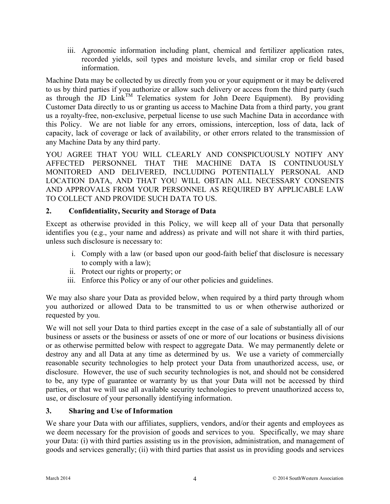iii. Agronomic information including plant, chemical and fertilizer application rates, recorded yields, soil types and moisture levels, and similar crop or field based information.

Machine Data may be collected by us directly from you or your equipment or it may be delivered to us by third parties if you authorize or allow such delivery or access from the third party (such as through the JD  $Link^{TM}$  Telematics system for John Deere Equipment). By providing Customer Data directly to us or granting us access to Machine Data from a third party, you grant us a royalty-free, non-exclusive, perpetual license to use such Machine Data in accordance with this Policy. We are not liable for any errors, omissions, interception, loss of data, lack of capacity, lack of coverage or lack of availability, or other errors related to the transmission of any Machine Data by any third party.

YOU AGREE THAT YOU WILL CLEARLY AND CONSPICUOUSLY NOTIFY ANY AFFECTED PERSONNEL THAT THE MACHINE DATA IS CONTINUOUSLY MONITORED AND DELIVERED, INCLUDING POTENTIALLY PERSONAL AND LOCATION DATA, AND THAT YOU WILL OBTAIN ALL NECESSARY CONSENTS AND APPROVALS FROM YOUR PERSONNEL AS REQUIRED BY APPLICABLE LAW TO COLLECT AND PROVIDE SUCH DATA TO US.

## **2. Confidentiality, Security and Storage of Data**

Except as otherwise provided in this Policy, we will keep all of your Data that personally identifies you (e.g., your name and address) as private and will not share it with third parties, unless such disclosure is necessary to:

- i. Comply with a law (or based upon our good-faith belief that disclosure is necessary to comply with a law);
- ii. Protect our rights or property; or
- iii. Enforce this Policy or any of our other policies and guidelines.

We may also share your Data as provided below, when required by a third party through whom you authorized or allowed Data to be transmitted to us or when otherwise authorized or requested by you.

We will not sell your Data to third parties except in the case of a sale of substantially all of our business or assets or the business or assets of one or more of our locations or business divisions or as otherwise permitted below with respect to aggregate Data. We may permanently delete or destroy any and all Data at any time as determined by us. We use a variety of commercially reasonable security technologies to help protect your Data from unauthorized access, use, or disclosure. However, the use of such security technologies is not, and should not be considered to be, any type of guarantee or warranty by us that your Data will not be accessed by third parties, or that we will use all available security technologies to prevent unauthorized access to, use, or disclosure of your personally identifying information.

### **3. Sharing and Use of Information**

We share your Data with our affiliates, suppliers, vendors, and/or their agents and employees as we deem necessary for the provision of goods and services to you. Specifically, we may share your Data: (i) with third parties assisting us in the provision, administration, and management of goods and services generally; (ii) with third parties that assist us in providing goods and services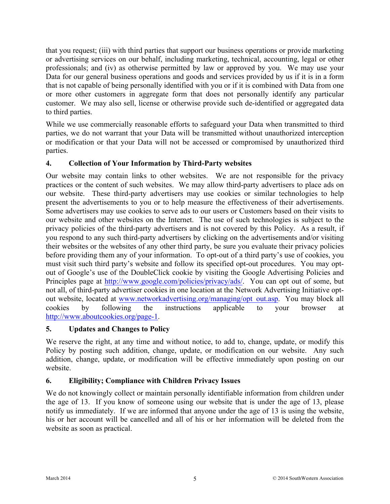that you request; (iii) with third parties that support our business operations or provide marketing or advertising services on our behalf, including marketing, technical, accounting, legal or other professionals; and (iv) as otherwise permitted by law or approved by you. We may use your Data for our general business operations and goods and services provided by us if it is in a form that is not capable of being personally identified with you or if it is combined with Data from one or more other customers in aggregate form that does not personally identify any particular customer. We may also sell, license or otherwise provide such de-identified or aggregated data to third parties.

While we use commercially reasonable efforts to safeguard your Data when transmitted to third parties, we do not warrant that your Data will be transmitted without unauthorized interception or modification or that your Data will not be accessed or compromised by unauthorized third parties.

## **4. Collection of Your Information by Third-Party websites**

Our website may contain links to other websites. We are not responsible for the privacy practices or the content of such websites. We may allow third-party advertisers to place ads on our website. These third-party advertisers may use cookies or similar technologies to help present the advertisements to you or to help measure the effectiveness of their advertisements. Some advertisers may use cookies to serve ads to our users or Customers based on their visits to our website and other websites on the Internet. The use of such technologies is subject to the privacy policies of the third-party advertisers and is not covered by this Policy. As a result, if you respond to any such third-party advertisers by clicking on the advertisements and/or visiting their websites or the websites of any other third party, be sure you evaluate their privacy policies before providing them any of your information. To opt-out of a third party's use of cookies, you must visit such third party's website and follow its specified opt-out procedures. You may optout of Google's use of the DoubleClick cookie by visiting the Google Advertising Policies and Principles page at http://www.google.com/policies/privacy/ads/. You can opt out of some, but not all, of third-party advertiser cookies in one location at the Network Advertising Initiative optout website, located at www.networkadvertising.org/managing/opt\_out.asp. You may block all cookies by following the instructions applicable to your browser at http://www.aboutcookies.org/page-1.

### **5. Updates and Changes to Policy**

We reserve the right, at any time and without notice, to add to, change, update, or modify this Policy by posting such addition, change, update, or modification on our website. Any such addition, change, update, or modification will be effective immediately upon posting on our website.

### **6. Eligibility; Compliance with Children Privacy Issues**

We do not knowingly collect or maintain personally identifiable information from children under the age of 13. If you know of someone using our website that is under the age of 13, please notify us immediately. If we are informed that anyone under the age of 13 is using the website, his or her account will be cancelled and all of his or her information will be deleted from the website as soon as practical.